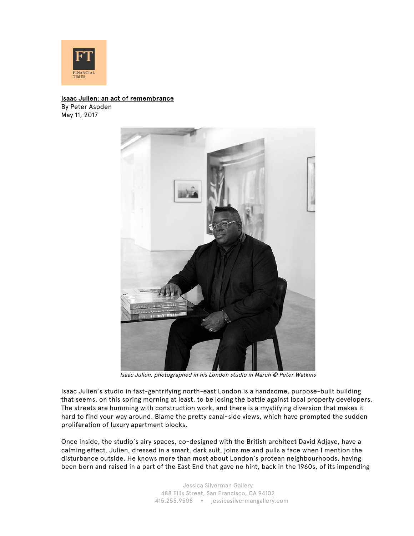

## Isaac Julien: an act of remembrance

By Peter Aspden May 11, 2017



Isaac Julien, photographed in his London studio in March © Peter Watkins

Isaac Julien's studio in fast-gentrifying north-east London is a handsome, purpose-built building that seems, on this spring morning at least, to be losing the battle against local property developers. The streets are humming with construction work, and there is a mystifying diversion that makes it hard to find your way around. Blame the pretty canal-side views, which have prompted the sudden proliferation of luxury apartment blocks.

Once inside, the studio's airy spaces, co-designed with the British architect David Adjaye, have a calming effect. Julien, dressed in a smart, dark suit, joins me and pulls a face when I mention the disturbance outside. He knows more than most about London's protean neighbourhoods, having been born and raised in a part of the East End that gave no hint, back in the 1960s, of its impending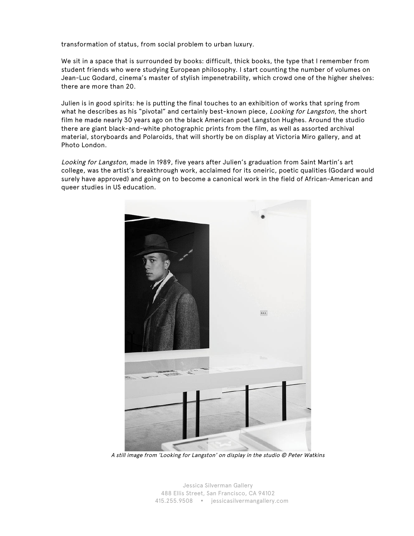transformation of status, from social problem to urban luxury.

We sit in a space that is surrounded by books: difficult, thick books, the type that I remember from student friends who were studying European philosophy. I start counting the number of volumes on Jean-Luc Godard, cinema's master of stylish impenetrability, which crowd one of the higher shelves: there are more than 20.

Julien is in good spirits: he is putting the final touches to an exhibition of works that spring from what he describes as his "pivotal" and certainly best-known piece, Looking for Langston, the short film he made nearly 30 years ago on the black American poet Langston Hughes. Around the studio there are giant black-and-white photographic prints from the film, as well as assorted archival material, storyboards and Polaroids, that will shortly be on display at Victoria Miro gallery, and at Photo London.

Looking for Langston, made in 1989, five years after Julien's graduation from Saint Martin's art college, was the artist's breakthrough work, acclaimed for its oneiric, poetic qualities (Godard would surely have approved) and going on to become a canonical work in the field of African-American and queer studies in US education.



A still image from 'Looking for Langston' on display in the studio © Peter Watkins

Jessica Silverman Gallery 488 Ellis Street, San Francisco, CA 94102 415.255.9508 jessicasilvermangallery.com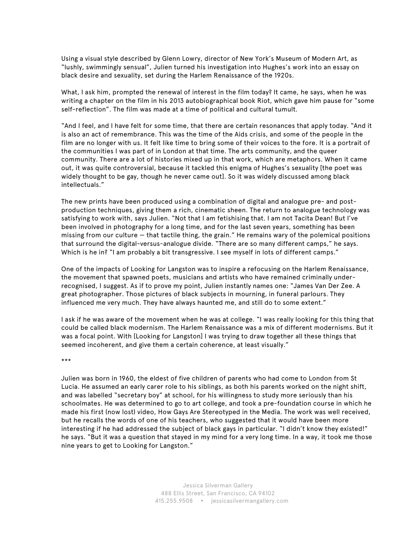Using a visual style described by Glenn Lowry, director of New York's Museum of Modern Art, as "lushly, swimmingly sensual", Julien turned his investigation into Hughes's work into an essay on black desire and sexuality, set during the Harlem Renaissance of the 1920s.

What, I ask him, prompted the renewal of interest in the film today? It came, he says, when he was writing a chapter on the film in his 2013 autobiographical book Riot, which gave him pause for "some self-reflection". The film was made at a time of political and cultural tumult.

"And I feel, and I have felt for some time, that there are certain resonances that apply today. "And it is also an act of remembrance. This was the time of the Aids crisis, and some of the people in the film are no longer with us. It felt like time to bring some of their voices to the fore. It is a portrait of the communities I was part of in London at that time. The arts community, and the queer community. There are a lot of histories mixed up in that work, which are metaphors. When it came out, it was quite controversial, because it tackled this enigma of Hughes's sexuality [the poet was widely thought to be gay, though he never came out]. So it was widely discussed among black intellectuals."

The new prints have been produced using a combination of digital and analogue pre- and postproduction techniques, giving them a rich, cinematic sheen. The return to analogue technology was satisfying to work with, says Julien. "Not that I am fetishising that. I am not Tacita Dean! But I've been involved in photography for a long time, and for the last seven years, something has been missing from our culture — that tactile thing, the grain." He remains wary of the polemical positions that surround the digital-versus-analogue divide. "There are so many different camps," he says. Which is he in? "I am probably a bit transgressive. I see myself in lots of different camps."

One of the impacts of Looking for Langston was to inspire a refocusing on the Harlem Renaissance, the movement that spawned poets, musicians and artists who have remained criminally underrecognised, I suggest. As if to prove my point, Julien instantly names one: "James Van Der Zee. A great photographer. Those pictures of black subjects in mourning, in funeral parlours. They influenced me very much. They have always haunted me, and still do to some extent."

I ask if he was aware of the movement when he was at college. "I was really looking for this thing that could be called black modernism. The Harlem Renaissance was a mix of different modernisms. But it was a focal point. With [Looking for Langston] I was trying to draw together all these things that seemed incoherent, and give them a certain coherence, at least visually."

\*\*\*

Julien was born in 1960, the eldest of five children of parents who had come to London from St Lucia. He assumed an early carer role to his siblings, as both his parents worked on the night shift, and was labelled "secretary boy" at school, for his willingness to study more seriously than his schoolmates. He was determined to go to art college, and took a pre-foundation course in which he made his first (now lost) video, How Gays Are Stereotyped in the Media. The work was well received, but he recalls the words of one of his teachers, who suggested that it would have been more interesting if he had addressed the subject of black gays in particular. "I didn't know they existed!" he says. "But it was a question that stayed in my mind for a very long time. In a way, it took me those nine years to get to Looking for Langston."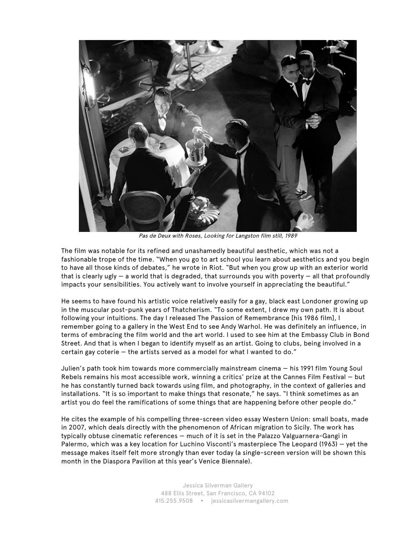

Pas de Deux with Roses, Looking for Langston film still, 1989

The film was notable for its refined and unashamedly beautiful aesthetic, which was not a fashionable trope of the time. "When you go to art school you learn about aesthetics and you begin to have all those kinds of debates," he wrote in Riot. "But when you grow up with an exterior world that is clearly ugly  $-$  a world that is degraded, that surrounds you with poverty  $-$  all that profoundly impacts your sensibilities. You actively want to involve yourself in appreciating the beautiful."

He seems to have found his artistic voice relatively easily for a gay, black east Londoner growing up in the muscular post-punk years of Thatcherism. "To some extent, I drew my own path. It is about following your intuitions. The day I released The Passion of Remembrance [his 1986 film], I remember going to a gallery in the West End to see Andy Warhol. He was definitely an influence, in terms of embracing the film world and the art world. I used to see him at the Embassy Club in Bond Street. And that is when I began to identify myself as an artist. Going to clubs, being involved in a certain gay coterie — the artists served as a model for what I wanted to do."

Julien's path took him towards more commercially mainstream cinema — his 1991 film Young Soul Rebels remains his most accessible work, winning a critics' prize at the Cannes Film Festival — but he has constantly turned back towards using film, and photography, in the context of galleries and installations. "It is so important to make things that resonate," he says. "I think sometimes as an artist you do feel the ramifications of some things that are happening before other people do."

He cites the example of his compelling three-screen video essay Western Union: small boats, made in 2007, which deals directly with the phenomenon of African migration to Sicily. The work has typically obtuse cinematic references — much of it is set in the Palazzo Valguarnera-Gangi in Palermo, which was a key location for Luchino Visconti's masterpiece The Leopard (1963) — yet the message makes itself felt more strongly than ever today (a single-screen version will be shown this month in the Diaspora Pavilion at this year's Venice Biennale).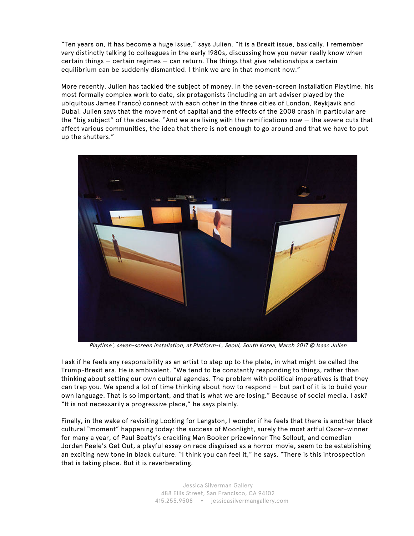"Ten years on, it has become a huge issue," says Julien. "It is a Brexit issue, basically. I remember very distinctly talking to colleagues in the early 1980s, discussing how you never really know when certain things — certain regimes — can return. The things that give relationships a certain equilibrium can be suddenly dismantled. I think we are in that moment now."

More recently, Julien has tackled the subject of money. In the seven-screen installation Playtime, his most formally complex work to date, six protagonists (including an art adviser played by the ubiquitous James Franco) connect with each other in the three cities of London, Reykjavik and Dubai. Julien says that the movement of capital and the effects of the 2008 crash in particular are the "big subject" of the decade. "And we are living with the ramifications now — the severe cuts that affect various communities, the idea that there is not enough to go around and that we have to put up the shutters."



Playtime', seven-screen installation, at Platform-L, Seoul, South Korea, March 2017 © Isaac Julien

I ask if he feels any responsibility as an artist to step up to the plate, in what might be called the Trump-Brexit era. He is ambivalent. "We tend to be constantly responding to things, rather than thinking about setting our own cultural agendas. The problem with political imperatives is that they can trap you. We spend a lot of time thinking about how to respond — but part of it is to build your own language. That is so important, and that is what we are losing." Because of social media, I ask? "It is not necessarily a progressive place," he says plainly.

Finally, in the wake of revisiting Looking for Langston, I wonder if he feels that there is another black cultural "moment" happening today: the success of Moonlight, surely the most artful Oscar-winner for many a year, of Paul Beatty's crackling Man Booker prizewinner The Sellout, and comedian Jordan Peele's Get Out, a playful essay on race disguised as a horror movie, seem to be establishing an exciting new tone in black culture. "I think you can feel it," he says. "There is this introspection that is taking place. But it is reverberating.